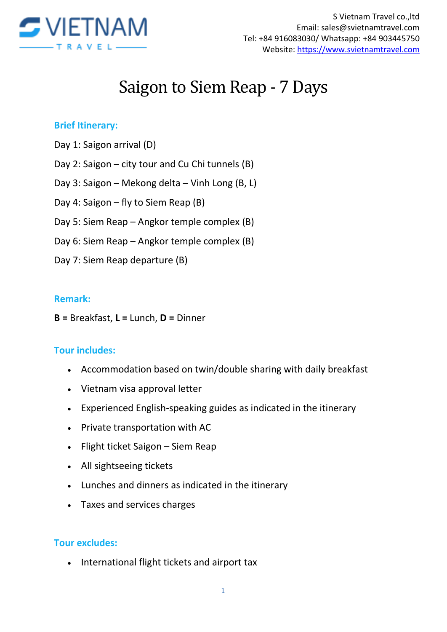

# Saigon to Siem Reap - 7 Days

### **Brief Itinerary:**

- Day 1: Saigon arrival (D)
- Day 2: Saigon city tour and Cu Chi tunnels (B)
- Day 3: Saigon Mekong delta Vinh Long (B, L)
- Day 4: Saigon fly to Siem Reap (B)
- Day 5: Siem Reap Angkor temple complex (B)
- Day 6: Siem Reap Angkor temple complex (B)
- Day 7: Siem Reap departure (B)

#### **Remark:**

**B =** Breakfast, **L =** Lunch, **D =** Dinner

#### **Tour includes:**

- Accommodation based on twin/double sharing with daily breakfast
- Vietnam visa approval letter
- Experienced English-speaking guides as indicated in the itinerary
- Private transportation with AC
- Flight ticket Saigon Siem Reap
- All sightseeing tickets
- Lunches and dinners as indicated in the itinerary
- Taxes and services charges

#### **Tour excludes:**

• International flight tickets and airport tax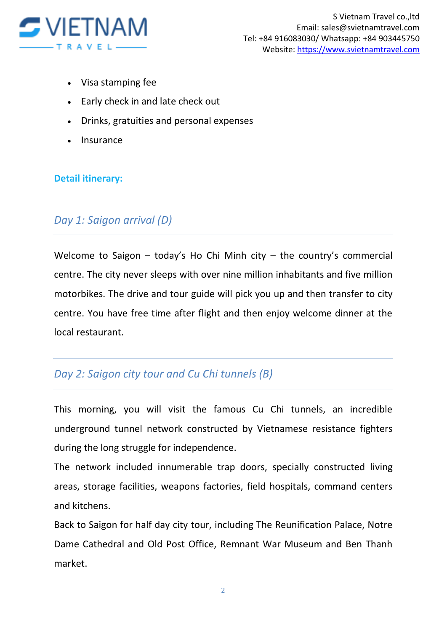

- Visa stamping fee
- Early check in and late check out
- Drinks, gratuities and personal expenses
- Insurance

## **Detail itinerary:**

## *Day 1: Saigon arrival (D)*

Welcome to Saigon – today's Ho Chi Minh city – the country's commercial centre. The city never sleeps with over nine million inhabitants and five million motorbikes. The drive and tour guide will pick you up and then transfer to city centre. You have free time after flight and then enjoy welcome dinner at the local restaurant.

# *Day 2: Saigon city tour and Cu Chi tunnels (B)*

This morning, you will visit the famous Cu Chi tunnels, an incredible underground tunnel network constructed by Vietnamese resistance fighters during the long struggle for independence.

The network included innumerable trap doors, specially constructed living areas, storage facilities, weapons factories, field hospitals, command centers and kitchens.

Back to Saigon for half day city tour, including The Reunification Palace, Notre Dame Cathedral and Old Post Office, Remnant War Museum and Ben Thanh market.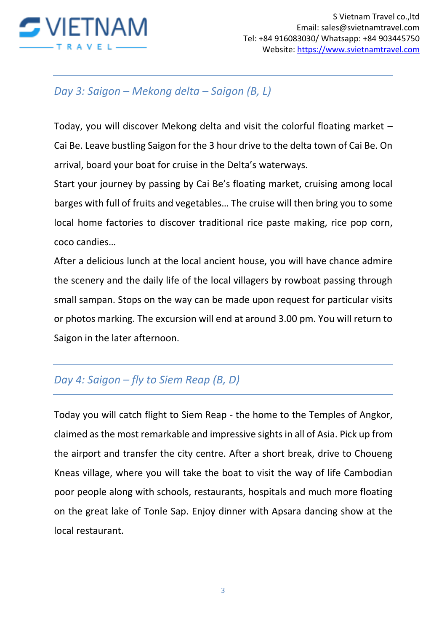

## *Day 3: Saigon – Mekong delta – Saigon (B, L)*

Today, you will discover Mekong delta and visit the colorful floating market – Cai Be. Leave bustling Saigon for the 3 hour drive to the delta town of Cai Be. On arrival, board your boat for cruise in the Delta's waterways.

Start your journey by passing by Cai Be's floating market, cruising among local barges with full of fruits and vegetables… The cruise will then bring you to some local home factories to discover traditional rice paste making, rice pop corn, coco candies…

After a delicious lunch at the local ancient house, you will have chance admire the scenery and the daily life of the local villagers by rowboat passing through small sampan. Stops on the way can be made upon request for particular visits or photos marking. The excursion will end at around 3.00 pm. You will return to Saigon in the later afternoon.

# *Day 4: Saigon – fly to Siem Reap (B, D)*

Today you will catch flight to Siem Reap - the home to the Temples of Angkor, claimed as the most remarkable and impressive sights in all of Asia. Pick up from the airport and transfer the city centre. After a short break, drive to Choueng Kneas village, where you will take the boat to visit the way of life Cambodian poor people along with schools, restaurants, hospitals and much more floating on the great lake of Tonle Sap. Enjoy dinner with Apsara dancing show at the local restaurant.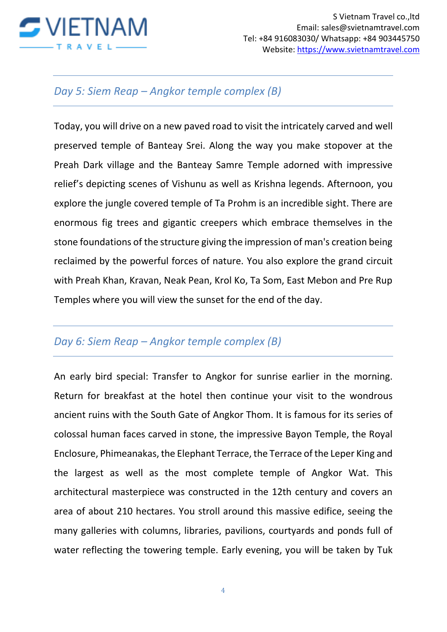

## *Day 5: Siem Reap – Angkor temple complex (B)*

Today, you will drive on a new paved road to visit the intricately carved and well preserved temple of Banteay Srei. Along the way you make stopover at the Preah Dark village and the Banteay Samre Temple adorned with impressive relief's depicting scenes of Vishunu as well as Krishna legends. Afternoon, you explore the jungle covered temple of Ta Prohm is an incredible sight. There are enormous fig trees and gigantic creepers which embrace themselves in the stone foundations of the structure giving the impression of man's creation being reclaimed by the powerful forces of nature. You also explore the grand circuit with Preah Khan, Kravan, Neak Pean, Krol Ko, Ta Som, East Mebon and Pre Rup Temples where you will view the sunset for the end of the day.

## *Day 6: Siem Reap – Angkor temple complex (B)*

An early bird special: Transfer to Angkor for sunrise earlier in the morning. Return for breakfast at the hotel then continue your visit to the wondrous ancient ruins with the South Gate of Angkor Thom. It is famous for its series of colossal human faces carved in stone, the impressive Bayon Temple, the Royal Enclosure, Phimeanakas, the Elephant Terrace, the Terrace of the Leper King and the largest as well as the most complete temple of Angkor Wat. This architectural masterpiece was constructed in the 12th century and covers an area of about 210 hectares. You stroll around this massive edifice, seeing the many galleries with columns, libraries, pavilions, courtyards and ponds full of water reflecting the towering temple. Early evening, you will be taken by Tuk